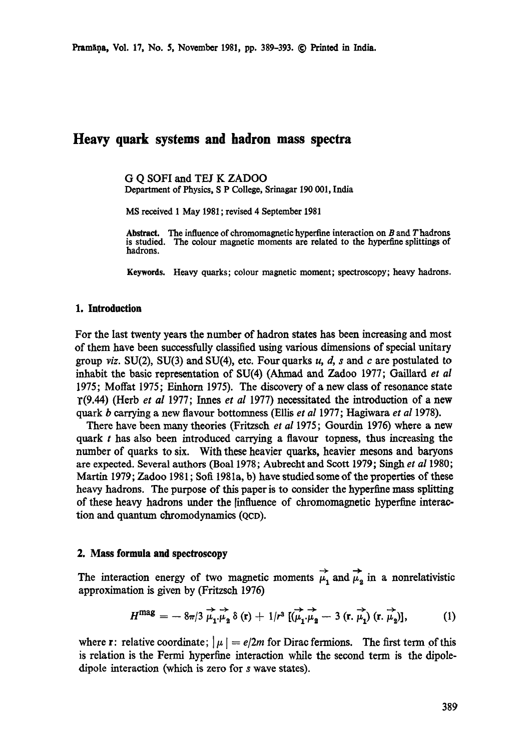# **Heavy quark systems and hadron mass spectra**

G Q SOFI and TEl K ZADOO Department of Physics, S P College, Srinagar 190 001, India

MS received 1 May 1981 ; revised 4 September 1981

**Abstract.**  The influence of chromomagnetic hyperfine interaction on B and Thadrons **is studied.**  The colour magnetic moments are related to the hyperfine splittings of **hadrons.** 

**Keywords.** Heavy quarks; colour magnetic moment; spectroscopy; heavy hadrons.

## **1. Introduction**

For the last twenty years the number of hadron states has been increasing and most of them have been successfully classified using various dimensions of special unitary group viz. SU(2), SU(3) and SU(4), etc. Four quarks u, d, s and c are postulated to inhabit the basic representation of SU(4) (Ahmad and Zadoo 1977; Gaillard *et al* 1975; Moffat 1975; Einhorn 1975). The discovery of a new class of resonance state 1"(9.44) (Herb *et al* 1977; lnnes *et al* 1977) necessitated the introduction of a new quark b carrying a new flavour bottomness (Ellis *et al* 1977; Hagiwara *et al* 1978).

There have been many theories (Fritzsch *et al* 1975; Gourdin 1976) where a new quark  $t$  has also been introduced carrying a flavour topness, thus increasing the number of quarks to six. With these heavier quarks, heavier mesons and baryons are expected. Several authors (Boal 1978; Aubrecht and Scott 1979; Singh *et al* 1980; Martin 1979; Zadoo 1981; Soft 1981a, b) have studied some of the properties of these heavy hadrons. The purpose of this paper is to consider the hyperfine mass splitting of these heavy hadrons under the [influence of chromomagnetic hyperfine interaction and quantum chromodynamics (QCD).

#### **2. Mass formula and spectroscopy**

The interaction energy of two magnetic moments  $\overrightarrow{\mu}$ , and  $\overrightarrow{\mu}_2$  in a nonrelativistic approximation is given by (Fritzsch 1976)

$$
H^{\text{mag}} = -8\pi/3 \overrightarrow{\mu_1 \mu_2} \delta(\mathbf{r}) + 1/r^3 \overrightarrow{[(\mu_1 \mu_2 - 3 (\mathbf{r}, \mu_1) (\mathbf{r}, \mu_2)]}, \qquad (1)
$$

where r: relative coordinate;  $|\mu| = e/2m$  for Dirac fermions. The first term of this is relation is the Fermi hyperfine interaction while the second term is the dipoledipole interaction (which is zero for s wave states).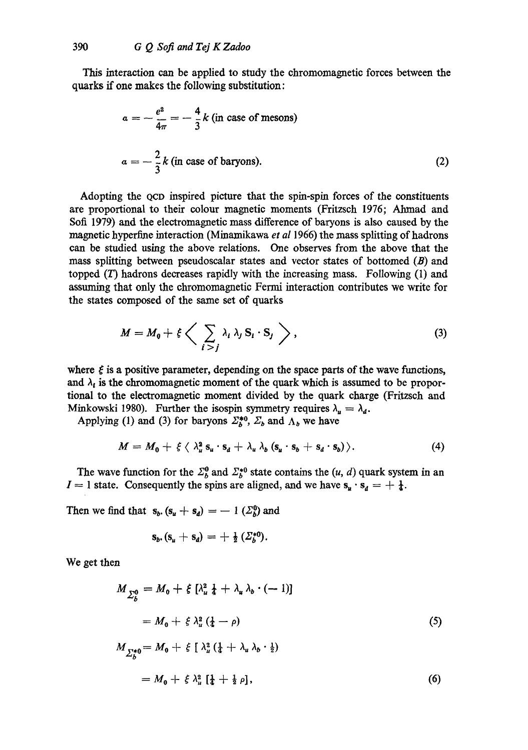This interaction can be applied to study the chromomagnetic forces between the quarks if one makes the following substitution:

$$
a = -\frac{e^2}{4\pi} = -\frac{4}{3}k \text{ (in case of mesons)}
$$
  

$$
a = -\frac{2}{3}k \text{ (in case of baryons)}.
$$
 (2)

Adopting the QCD inspired picture that the spin-spin forces of the constituents are proportional to their colour magnetic moments (Fritzsch 1976; Atmaad and Soft 1979) and the electromagnetic mass difference of baryons is also caused by the magnetic hyperfine interaction (Minamikawa *et al* 1966) the mass splitting of hadrons can be studied using the above relations. One observes from the above that the mass splitting between pseudoscalar states and vector states of bottomed  $(B)$  and topped  $(T)$  hadrons decreases rapidly with the increasing mass. Following  $(1)$  and assuming that only the chromomagnetic Fermi interaction contributes we write for the states composed of the same set of quarks

$$
M = M_0 + \xi \left\langle \sum_{i > j} \lambda_i \lambda_j \, \mathbf{S}_i \cdot \mathbf{S}_j \right\rangle, \tag{3}
$$

where  $\xi$  is a positive parameter, depending on the space parts of the wave functions, and  $\lambda_i$  is the chromomagnetic moment of the quark which is assumed to be proportional to the electromagnetic moment divided by the quark charge (Fritzsch and Minkowski 1980). Further the isospin symmetry requires  $\lambda_{\mu} = \lambda_{d}$ .

Applying (1) and (3) for baryons  $\Sigma_b^{*0}$ ,  $\Sigma_b$  and  $\Lambda_b$  we have

$$
M = M_0 + \xi \langle \lambda_u^2 s_u \cdot s_d + \lambda_u \lambda_b (s_u \cdot s_b + s_d \cdot s_b) \rangle. \tag{4}
$$

The wave function for the  $\Sigma_b^0$  and  $\Sigma_b^{*0}$  state contains the  $(u, d)$  quark system in an  $I = 1$  state. Consequently the spins are aligned, and we have  $s_u \cdot s_d = + \frac{1}{4}$ .

Then we find that  $s_b$ .  $(s_u + s_d) = -1$   $(\Sigma_b^0)$  and

$$
s_b \cdot (s_u + s_d) = + \frac{1}{2} (\Sigma_b^{*0}).
$$

We get then

$$
M_{\sum_{b}^{0}} = M_{0} + \xi \left[ \lambda_{u}^{2} \frac{1}{4} + \lambda_{u} \lambda_{b} \cdot (-1) \right]
$$
  
\n
$$
= M_{0} + \xi \lambda_{u}^{2} \left( \frac{1}{4} - \rho \right)
$$
  
\n
$$
M_{\sum_{b}^{*0}} = M_{0} + \xi \left[ \lambda_{u}^{2} \left( \frac{1}{4} + \lambda_{u} \lambda_{b} \cdot \frac{1}{2} \right) \right]
$$
  
\n
$$
= M_{0} + \xi \lambda_{u}^{2} \left[ \frac{1}{4} + \frac{1}{2} \rho \right],
$$
  
\n(6)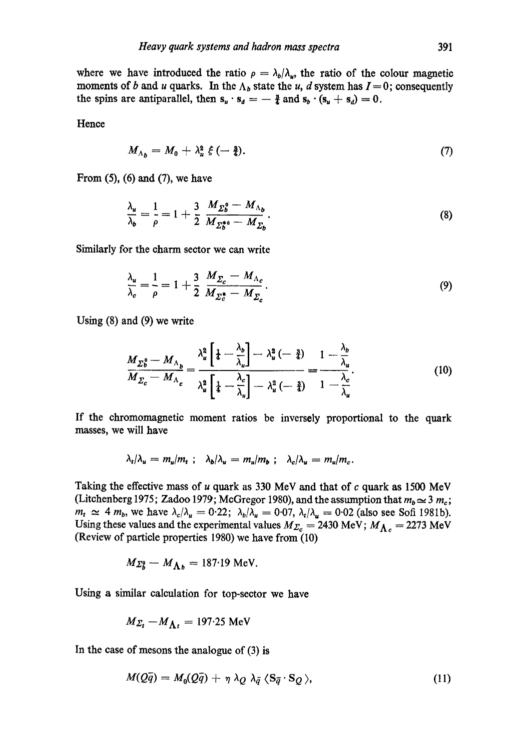where we have introduced the ratio  $\rho = \lambda_b/\lambda_a$ , the ratio of the colour magnetic moments of b and u quarks. In the  $\Lambda_b$  state the u, d system has  $I=0$ ; consequently the spins are antiparallel, then  $s_u \cdot s_d = -\frac{3}{4}$  and  $s_b \cdot (s_u + s_d) = 0$ .

Hence

$$
M_{\Lambda_b}=M_0+\lambda_u^2\,\xi\,(-\tfrac{3}{4}).\tag{7}
$$

From  $(5)$ ,  $(6)$  and  $(7)$ , we have

$$
\frac{\lambda_u}{\lambda_b} = \frac{1}{\rho} = 1 + \frac{3}{2} \frac{M_{\Sigma_b^0} - M_{\Lambda_b}}{M_{\Sigma_b^{*0}} - M_{\Sigma_b}}.
$$
\n(8)

Similarly for the charm sector we can write

$$
\frac{\lambda_u}{\lambda_c} = \frac{1}{\rho} = 1 + \frac{3}{2} \frac{M_{\Sigma_c} - M_{\Lambda_c}}{M_{\Sigma_c^*} - M_{\Sigma_c}}.
$$
\n(9)

Using (8) and (9) we write

$$
\frac{M_{\Sigma_0^0} - M_{\Lambda_b}}{M_{\Sigma_c} - M_{\Lambda_c}} = \frac{\lambda_u^2 \left[ \frac{1}{4} - \frac{\lambda_b}{\lambda_u} \right] - \lambda_u^2 \left( - \frac{3}{4} \right)}{\lambda_u^2 \left[ \frac{1}{4} - \frac{\lambda_c}{\lambda_u} \right] - \lambda_u^2 \left( - \frac{3}{4} \right)} = \frac{1 - \frac{\lambda_b}{\lambda_u}}{1 - \frac{\lambda_c}{\lambda_u}}.
$$
\n(10)

If the chromomaguetic moment ratios be inversely proportional to the quark masses, we will have

$$
\lambda_t/\lambda_u = m_u/m_t \; ; \; \lambda_b/\lambda_u = m_u/m_b \; ; \; \lambda_c/\lambda_u = m_u/m_c.
$$

Taking the effective mass of  $u$  quark as 330 MeV and that of  $c$  quark as 1500 MeV (Litchenberg 1975; Zadoo 1979; McGregor 1980), and the assumption that  $m_b \simeq 3 m_c$ ;  $m_t \simeq 4$   $m_b$ , we have  $\lambda_c/\lambda_u = 0.22;~ \lambda_b/\lambda_u = 0.07, \lambda_t/\lambda_u = 0.02$  (also see Soft 1981b). Using these values and the experimental values  $M_{\Sigma_c} = 2430 \text{ MeV}; M_{\Lambda_c} = 2273 \text{ MeV}$ (Review of particle properties 1980) we have from (10)

$$
M_{\Sigma_b^0} - M_{\Lambda_b} = 187.19
$$
 MeV.

Using a similar calculation for top-sector we have

$$
M_{\Sigma_t} - M_{\Lambda_t} = 197.25 \text{ MeV}
$$

In the case of mesons the analogue of (3) is

$$
M(Q\bar{q}) = M_0(Q\bar{q}) + \eta \lambda_Q \lambda_{\bar{q}} \langle \mathbf{S}_{\bar{q}} \cdot \mathbf{S}_Q \rangle, \qquad (11)
$$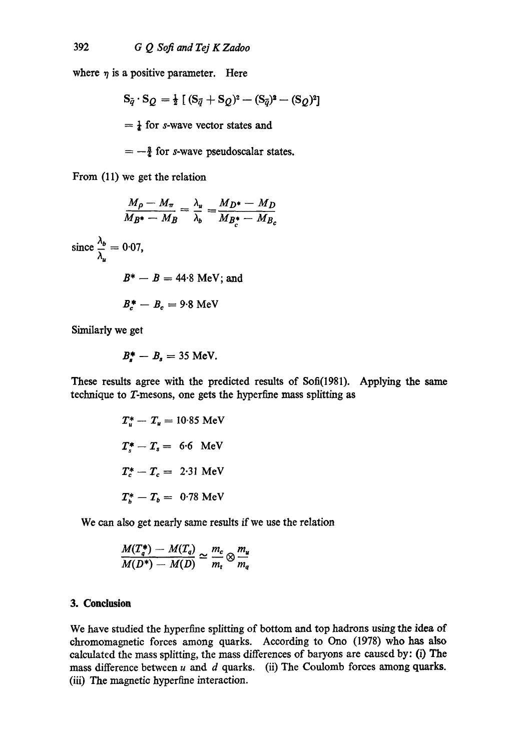where  $\eta$  is a positive parameter. Here

$$
S_{\bar{q}} \cdot S_Q = \frac{1}{2} \left[ (S_{\bar{q}} + S_Q)^2 - (S_{\bar{q}})^2 - (S_Q)^2 \right]
$$
  
=  $\frac{1}{4}$  for *s*-wave vector states and

 $=-\frac{3}{4}$  for s-wave pseudoscalar states.

From (11) we get the relation

$$
\frac{M_{\rho} - M_{\pi}}{M_{B^*} - M_B} = \frac{\lambda_u}{\lambda_b} = \frac{M_{D^*} - M_D}{M_{B_c^*} - M_{B_c}}
$$
  
since  $\frac{\lambda_b}{\lambda_u} = 0.07$ ,  
 $B^* - B = 44.8 \text{ MeV}; \text{ and}$   
 $B_c^* - B_c = 9.8 \text{ MeV}$ 

Similarly we get

$$
B_s^* - B_s = 35
$$
 MeV.

These results agree with the predicted results of Sofi(1981). Applying the same technique to T-mesons, one gets the hyperfine mass splitting as

$$
T_u^* - T_u = 10.85 \text{ MeV}
$$
  

$$
T_s^* - T_s = 6.6 \text{ MeV}
$$
  

$$
T_c^* - T_c = 2.31 \text{ MeV}
$$
  

$$
T_s^* - T_b = 0.78 \text{ MeV}
$$

We can also get nearly same results if we use the relation

$$
\frac{M(T_q^*) - M(T_q)}{M(D^*) - M(D)} \simeq \frac{m_c}{m_t} \otimes \frac{m_u}{m_q}
$$

## **3. Conclusion**

We have studied the hyperfine splitting of bottom and top hadrons using the idea of chromomagnetic forces among quarks. According to Ono (1978) who has also calculated the mass splitting, the mass differences of baryons are caused by: (i) The mass difference between  $u$  and  $d$  quarks. (ii) The Coulomb forces among quarks. (iii) The magnetic hyperfme interaction.